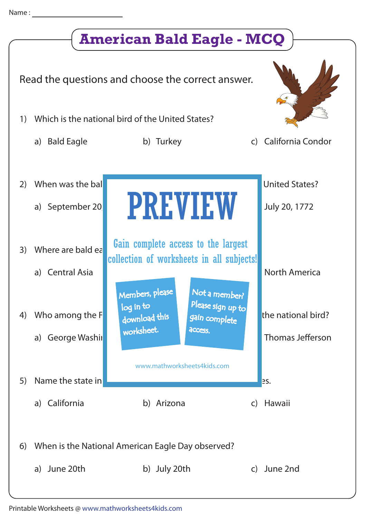